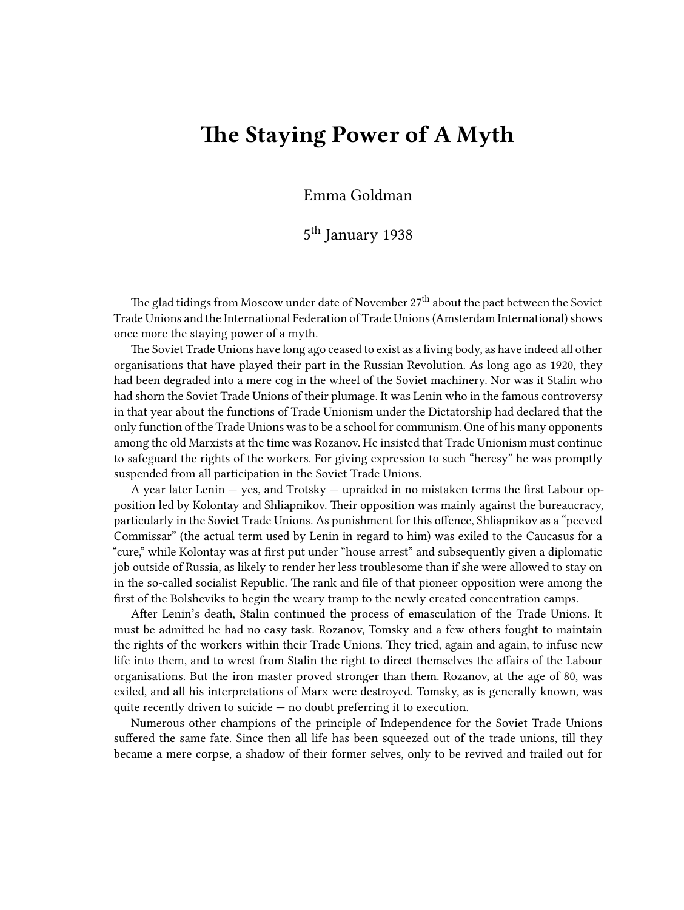## **The Staying Power of A Myth**

Emma Goldman

5<sup>th</sup> January 1938

The glad tidings from Moscow under date of November  $27<sup>th</sup>$  about the pact between the Soviet Trade Unions and the International Federation of Trade Unions (Amsterdam International) shows once more the staying power of a myth.

The Soviet Trade Unions have long ago ceased to exist as a living body, as have indeed all other organisations that have played their part in the Russian Revolution. As long ago as 1920, they had been degraded into a mere cog in the wheel of the Soviet machinery. Nor was it Stalin who had shorn the Soviet Trade Unions of their plumage. It was Lenin who in the famous controversy in that year about the functions of Trade Unionism under the Dictatorship had declared that the only function of the Trade Unions was to be a school for communism. One of his many opponents among the old Marxists at the time was Rozanov. He insisted that Trade Unionism must continue to safeguard the rights of the workers. For giving expression to such "heresy" he was promptly suspended from all participation in the Soviet Trade Unions.

A year later Lenin  $-$  yes, and Trotsky  $-$  upraided in no mistaken terms the first Labour opposition led by Kolontay and Shliapnikov. Their opposition was mainly against the bureaucracy, particularly in the Soviet Trade Unions. As punishment for this offence, Shliapnikov as a "peeved Commissar" (the actual term used by Lenin in regard to him) was exiled to the Caucasus for a "cure," while Kolontay was at first put under "house arrest" and subsequently given a diplomatic job outside of Russia, as likely to render her less troublesome than if she were allowed to stay on in the so-called socialist Republic. The rank and file of that pioneer opposition were among the first of the Bolsheviks to begin the weary tramp to the newly created concentration camps.

After Lenin's death, Stalin continued the process of emasculation of the Trade Unions. It must be admitted he had no easy task. Rozanov, Tomsky and a few others fought to maintain the rights of the workers within their Trade Unions. They tried, again and again, to infuse new life into them, and to wrest from Stalin the right to direct themselves the affairs of the Labour organisations. But the iron master proved stronger than them. Rozanov, at the age of 80, was exiled, and all his interpretations of Marx were destroyed. Tomsky, as is generally known, was quite recently driven to suicide — no doubt preferring it to execution.

Numerous other champions of the principle of Independence for the Soviet Trade Unions suffered the same fate. Since then all life has been squeezed out of the trade unions, till they became a mere corpse, a shadow of their former selves, only to be revived and trailed out for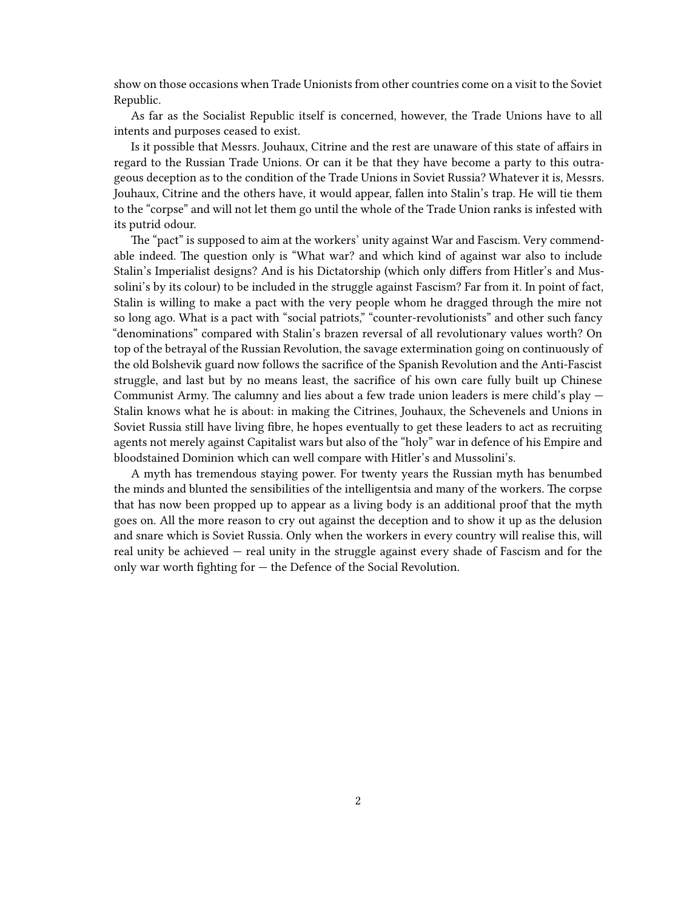show on those occasions when Trade Unionists from other countries come on a visit to the Soviet Republic.

As far as the Socialist Republic itself is concerned, however, the Trade Unions have to all intents and purposes ceased to exist.

Is it possible that Messrs. Jouhaux, Citrine and the rest are unaware of this state of affairs in regard to the Russian Trade Unions. Or can it be that they have become a party to this outrageous deception as to the condition of the Trade Unions in Soviet Russia? Whatever it is, Messrs. Jouhaux, Citrine and the others have, it would appear, fallen into Stalin's trap. He will tie them to the "corpse" and will not let them go until the whole of the Trade Union ranks is infested with its putrid odour.

The "pact" is supposed to aim at the workers' unity against War and Fascism. Very commendable indeed. The question only is "What war? and which kind of against war also to include Stalin's Imperialist designs? And is his Dictatorship (which only differs from Hitler's and Mussolini's by its colour) to be included in the struggle against Fascism? Far from it. In point of fact, Stalin is willing to make a pact with the very people whom he dragged through the mire not so long ago. What is a pact with "social patriots," "counter-revolutionists" and other such fancy "denominations" compared with Stalin's brazen reversal of all revolutionary values worth? On top of the betrayal of the Russian Revolution, the savage extermination going on continuously of the old Bolshevik guard now follows the sacrifice of the Spanish Revolution and the Anti-Fascist struggle, and last but by no means least, the sacrifice of his own care fully built up Chinese Communist Army. The calumny and lies about a few trade union leaders is mere child's play — Stalin knows what he is about: in making the Citrines, Jouhaux, the Schevenels and Unions in Soviet Russia still have living fibre, he hopes eventually to get these leaders to act as recruiting agents not merely against Capitalist wars but also of the "holy" war in defence of his Empire and bloodstained Dominion which can well compare with Hitler's and Mussolini's.

A myth has tremendous staying power. For twenty years the Russian myth has benumbed the minds and blunted the sensibilities of the intelligentsia and many of the workers. The corpse that has now been propped up to appear as a living body is an additional proof that the myth goes on. All the more reason to cry out against the deception and to show it up as the delusion and snare which is Soviet Russia. Only when the workers in every country will realise this, will real unity be achieved — real unity in the struggle against every shade of Fascism and for the only war worth fighting for — the Defence of the Social Revolution.